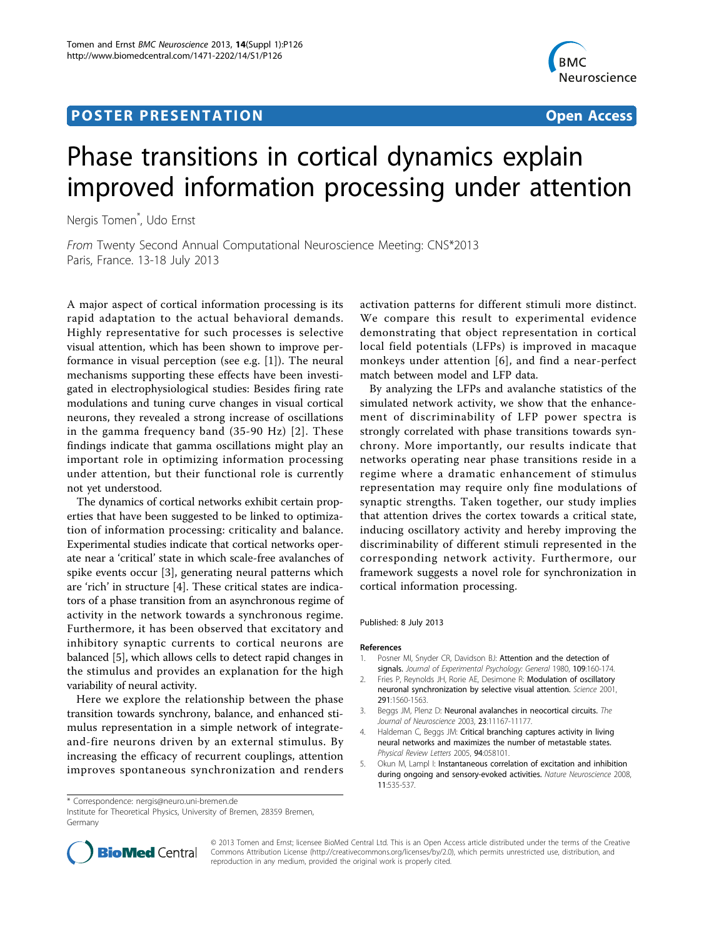## **POSTER PRESENTATION CONSUMING ACCESS**



# Phase transitions in cortical dynamics explain improved information processing under attention

Nergis Tomen\* , Udo Ernst

From Twenty Second Annual Computational Neuroscience Meeting: CNS\*2013 Paris, France. 13-18 July 2013

A major aspect of cortical information processing is its rapid adaptation to the actual behavioral demands. Highly representative for such processes is selective visual attention, which has been shown to improve performance in visual perception (see e.g. [1]). The neural mechanisms supporting these effects have been investigated in electrophysiological studies: Besides firing rate modulations and tuning curve changes in visual cortical neurons, they revealed a strong increase of oscillations in the gamma frequency band (35-90 Hz) [2]. These findings indicate that gamma oscillations might play an important role in optimizing information processing under attention, but their functional role is currently not yet understood.

The dynamics of cortical networks exhibit certain properties that have been suggested to be linked to optimization of information processing: criticality and balance. Experimental studies indicate that cortical networks operate near a 'critical' state in which scale-free avalanches of spike events occur [3], generating neural patterns which are 'rich' in structure [4]. These critical states are indicators of a phase transition from an asynchronous regime of activity in the network towards a synchronous regime. Furthermore, it has been observed that excitatory and inhibitory synaptic currents to cortical neurons are balanced [5], which allows cells to detect rapid changes in the stimulus and provides an explanation for the high variability of neural activity.

Here we explore the relationship between the phase transition towards synchrony, balance, and enhanced stimulus representation in a simple network of integrateand-fire neurons driven by an external stimulus. By increasing the efficacy of recurrent couplings, attention improves spontaneous synchronization and renders

activation patterns for different stimuli more distinct. We compare this result to experimental evidence demonstrating that object representation in cortical local field potentials (LFPs) is improved in macaque monkeys under attention [[6\]](#page-1-0), and find a near-perfect match between model and LFP data.

By analyzing the LFPs and avalanche statistics of the simulated network activity, we show that the enhancement of discriminability of LFP power spectra is strongly correlated with phase transitions towards synchrony. More importantly, our results indicate that networks operating near phase transitions reside in a regime where a dramatic enhancement of stimulus representation may require only fine modulations of synaptic strengths. Taken together, our study implies that attention drives the cortex towards a critical state, inducing oscillatory activity and hereby improving the discriminability of different stimuli represented in the corresponding network activity. Furthermore, our framework suggests a novel role for synchronization in cortical information processing.

#### Published: 8 July 2013

#### References

- 1. Posner MI, Snyder CR, Davidson BJ: Attention and the detection of signals. Journal of Experimental Psychology: General 1980, 109:160-174.
- 2. Fries P, Reynolds JH, Rorie AE, Desimone R: [Modulation of oscillatory](http://www.ncbi.nlm.nih.gov/pubmed/11222864?dopt=Abstract) [neuronal synchronization by selective visual attention.](http://www.ncbi.nlm.nih.gov/pubmed/11222864?dopt=Abstract) Science 2001, 291:1560-1563.
- 3. Beggs JM, Plenz D: [Neuronal avalanches in neocortical circuits.](http://www.ncbi.nlm.nih.gov/pubmed/14657176?dopt=Abstract) The Journal of Neuroscience 2003, <sup>23</sup>:11167-11177.
- 4. Haldeman C, Beggs JM: [Critical branching captures activity in living](http://www.ncbi.nlm.nih.gov/pubmed/15783702?dopt=Abstract) [neural networks and maximizes the number of metastable states.](http://www.ncbi.nlm.nih.gov/pubmed/15783702?dopt=Abstract) Physical Review Letters 2005, <sup>94</sup>:058101.
- 5. Okun M, Lampl I: [Instantaneous correlation of excitation and inhibition](http://www.ncbi.nlm.nih.gov/pubmed/18376400?dopt=Abstract) [during ongoing and sensory-evoked activities.](http://www.ncbi.nlm.nih.gov/pubmed/18376400?dopt=Abstract) Nature Neuroscience 2008, 11:535-537.

Institute for Theoretical Physics, University of Bremen, 28359 Bremen, Germany



© 2013 Tomen and Ernst; licensee BioMed Central Ltd. This is an Open Access article distributed under the terms of the Creative Commons Attribution License [\(http://creativecommons.org/licenses/by/2.0](http://creativecommons.org/licenses/by/2.0)), which permits unrestricted use, distribution, and reproduction in any medium, provided the original work is properly cited.

<sup>\*</sup> Correspondence: [nergis@neuro.uni-bremen.de](mailto:nergis@neuro.uni-bremen.de)